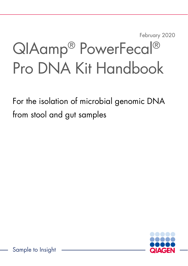February 2020

# QIAamp® PowerFecal® Pro DNA Kit Handbook

For the isolation of microbial genomic DNA from stool and gut samples

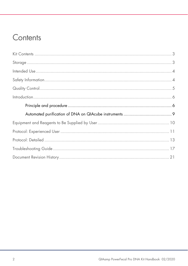### Contents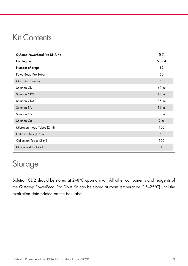### Kit Contents

| QIAamp PowerFecal Pro DNA Kit | (50)   |
|-------------------------------|--------|
| Catalog no.                   | 51804  |
| Number of preps               | 50     |
| PowerBead Pro Tubes           | 50     |
| <b>MB Spin Columns</b>        | 50     |
| Solution CD1                  | 40 ml  |
| Solution CD2                  | $15$ m |
| Solution CD3                  | 35 ml  |
| Solution EA                   | 36 ml  |
| Solution C5                   | 30 ml  |
| Solution C6                   | $9$ m  |
| Microcentrifuge Tubes (2 ml)  | 100    |
| Elution Tubes (1.5 ml)        | 50     |
| Collection Tubes (2 ml)       | 100    |
| Quick-Start Protocol          | 1      |

### Storage

Solution CD2 should be stored at 2-8°C upon arrival. All other components and reagents of the QIAamp PowerFecal Pro DNA Kit can be stored at room temperature (15–25°C) until the expiration date printed on the box label.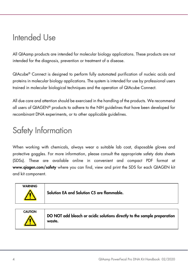### Intended Use

All QIAamp products are intended for molecular biology applications. These products are not intended for the diagnosis, prevention or treatment of a disease.

QIAcube® Connect is designed to perform fully automated purification of nucleic acids and proteins in molecular biology applications. The system is intended for use by professional users trained in molecular biological techniques and the operation of QIAcube Connect.

All due care and attention should be exercised in the handling of the products. We recommend all users of QIAGEN® products to adhere to the NIH guidelines that have been developed for recombinant DNA experiments, or to other applicable guidelines.

### Safety Information

When working with chemicals, always wear a suitable lab coat, disposable gloves and protective goggles. For more information, please consult the appropriate safety data sheets (SDSs). These are available online in convenient and compact PDF format at www.qiagen.com/safety where you can find, view and print the SDS for each QIAGEN kit and kit component.



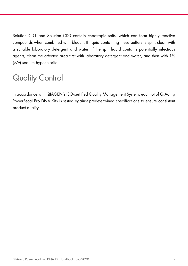Solution CD1 and Solution CD3 contain chaotropic salts, which can form highly reactive compounds when combined with bleach. If liquid containing these buffers is spilt, clean with a suitable laboratory detergent and water. If the spilt liquid contains potentially infectious agents, clean the affected area first with laboratory detergent and water, and then with 1% (v/v) sodium hypochlorite.

## Quality Control

In accordance with QIAGEN's ISO-certified Quality Management System, each lot of QIAamp PowerFecal Pro DNA Kits is tested against predetermined specifications to ensure consistent product quality.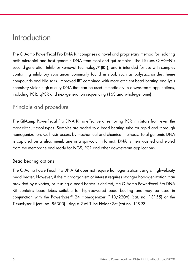### Introduction

The QIAamp PowerFecal Pro DNA Kit comprises a novel and proprietary method for isolating both microbial and host genomic DNA from stool and gut samples. The kit uses QIAGEN's second-generation Inhibitor Removal Technology® (IRT), and is intended for use with samples containing inhibitory substances commonly found in stool, such as polysaccharides, heme compounds and bile salts. Improved IRT combined with more efficient bead beating and lysis chemistry yields high-quality DNA that can be used immediately in downstream applications, including PCR, qPCR and next-generation sequencing (16S and whole-genome).

#### Principle and procedure

The QIAamp PowerFecal Pro DNA Kit is effective at removing PCR inhibitors from even the most difficult stool types. Samples are added to a bead beating tube for rapid and thorough homogenization. Cell lysis occurs by mechanical and chemical methods. Total genomic DNA is captured on a silica membrane in a spin-column format. DNA is then washed and eluted from the membrane and ready for NGS, PCR and other downstream applications.

#### Bead beating options

The QIAamp PowerFecal Pro DNA Kit does not require homogenization using a high-velocity bead beater. However, if the microorganism of interest requires stronger homogenization than provided by a vortex, or if using a bead beater is desired, the QIAamp PowerFecal Pro DNA Kit contains bead tubes suitable for high-powered bead beating and may be used in conjunction with the PowerLyzer® 24 Homogenizer (110/220V) (cat. no. 13155) or the TissueLyser II (cat. no. 85300) using a 2 ml Tube Holder Set (cat no. 11993).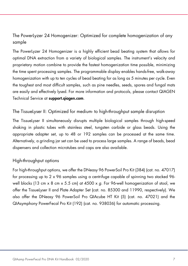#### The PowerLyzer 24 Homogenizer: Optimized for complete homogenization of any sample

The PowerLyzer 24 Homogenizer is a highly efficient bead beating system that allows for optimal DNA extraction from a variety of biological samples. The instrument's velocity and proprietary motion combine to provide the fastest homogenization time possible, minimizing the time spent processing samples. The programmable display enables hands-free, walk-away homogenization with up to ten cycles of bead beating for as long as 5 minutes per cycle. Even the toughest and most difficult samples, such as pine needles, seeds, spores and fungal mats are easily and effectively lysed. For more information and protocols, please contact QIAGEN Technical Service at support.qiagen.com.

#### The TissueLyser II: Optimized for medium- to high-throughput sample disruption

The TissueLyser II simultaneously disrupts multiple biological samples through high-speed shaking in plastic tubes with stainless steel, tungsten carbide or glass beads. Using the appropriate adapter set, up to 48 or 192 samples can be processed at the same time. Alternatively, a grinding jar set can be used to process large samples. A range of beads, bead dispensers and collection microtubes and caps are also available.

#### High-throughput options

For high-throughput options, we offer the DNeasy 96 PowerSoil Pro Kit (384) (cat. no. 47017) for processing up to 2 x 96 samples using a centrifuge capable of spinning two stacked 96 well blocks (13 cm  $\times$  8 cm  $\times$  5.5 cm) at 4500  $\times$  g. For 96-well homogenization of stool, we offer the TissueLyser II and Plate Adapter Set (cat. no. 85300 and 11990, respectively). We also offer the DNeasy 96 PowerSoil Pro QIAcube HT Kit (5) (cat. no. 47021) and the QIAsymphony PowerFecal Pro Kit (192) (cat. no. 938036) for automatic processing.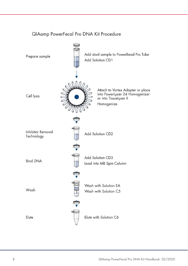

#### QIAamp PowerFecal Pro DNA Kit Procedure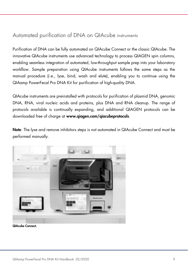### Automated purification of DNA on QIAcube instruments

Purification of DNA can be fully automated on QIAcube Connect or the classic QIAcube. The innovative QIAcube instruments use advanced technology to process QIAGEN spin columns, enabling seamless integration of automated, low-throughput sample prep into your laboratory workflow. Sample preparation using QIAcube instruments follows the same steps as the manual procedure (i.e., lyse, bind, wash and elute), enabling you to continue using the QIAamp PowerFecal Pro DNA Kit for purification of high-quality DNA.

QIAcube instruments are preinstalled with protocols for purification of plasmid DNA, genomic DNA, RNA, viral nucleic acids and proteins, plus DNA and RNA cleanup. The range of protocols available is continually expanding, and additional QIAGEN protocols can be downloaded free of charge at www.qiagen.com/qiacubeprotocols.

Note: The lyse and remove inhibitors steps is not automated in QIAcube Connect and must be performed manually.



QIAcube Connect.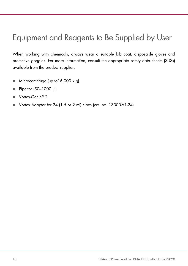### Equipment and Reagents to Be Supplied by User

When working with chemicals, always wear a suitable lab coat, disposable gloves and protective goggles. For more information, consult the appropriate safety data sheets (SDSs) available from the product supplier.

- Microcentrifuge (up to  $16,000 \times g$ )
- Pipettor (50-1000 µl)
- Vortex-Genie<sup>®</sup> 2
- Vortex Adapter for 24 (1.5 or 2 ml) tubes (cat. no. 13000-V1-24)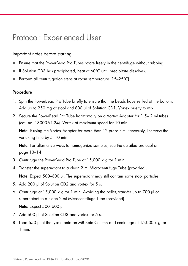### Protocol: Experienced User

#### Important notes before starting

- Ensure that the PowerBead Pro Tubes rotate freely in the centrifuge without rubbing.
- If Solution CD3 has precipitated, heat at 60°C until precipitate dissolves.
- Perform all centrifugation steps at room temperature (15–25°C).

#### Procedure

- 1. Spin the PowerBead Pro Tube briefly to ensure that the beads have settled at the bottom. Add up to 250 mg of stool and 800 µl of Solution CD1. Vortex briefly to mix.
- 2. Secure the PowerBead Pro Tube horizontally on a Vortex Adapter for 1.5– 2 ml tubes (cat. no. 13000-V1-24). Vortex at maximum speed for 10 min.

Note: If using the Vortex Adapter for more than 12 preps simultaneously, increase the vortexing time by 5–10 min.

Note: For alternative ways to homogenize samples, see the detailed protocol on page 13–14

- 3. Centrifuge the PowerBead Pro Tube at 15,000 x g for 1 min.
- 4. Transfer the supernatant to a clean 2 ml Microcentrifuge Tube (provided). Note: Expect 500–600 µl. The supernatant may still contain some stool particles.
- 5. Add 200 µl of Solution CD2 and vortex for 5 s.
- 6. Centrifuge at  $15,000 \times q$  for 1 min. Avoiding the pellet, transfer up to 700 µ of supernatant to a clean 2 ml Microcentrifuge Tube (provided).
	- Note: Expect 500–600 µl.
- 7. Add 600 µl of Solution CD3 and vortex for 5 s.
- 8. Load 650 µl of the lysate onto an MB Spin Column and centrifuge at 15,000 x g for 1 min.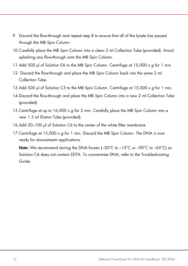- 9. Discard the flow-through and repeat step 8 to ensure that all of the lysate has passed through the MB Spin Column.
- 10.Carefully place the MB Spin Column into a clean 2 ml Collection Tube (provided). Avoid splashing any flow-through onto the MB Spin Column.
- 11.Add 500 µl of Solution EA to the MB Spin Column. Centrifuge at 15,000 x g for 1 min.
- 12. Discard the flow-through and place the MB Spin Column back into the same 2 ml Collection Tube.
- 13. Add 500 ul of Solution C5 to the MB Spin Column. Centrifuge at 15,000 x a for 1 min.
- 14.Discard the flow-through and place the MB Spin Column into a new 2 ml Collection Tube (provided).
- 15. Centrifuge at up to 16,000 x g for 2 min. Carefully place the MB Spin Column into a new 1.5 ml Elution Tube (provided).
- 16.Add 50–100 µl of Solution C6 to the center of the white filter membrane.
- 17. Centrifuge at 15,000  $\times$  g for 1 min. Discard the MB Spin Column. The DNA is now ready for downstream applications.

**Note:** We recommend storing the DNA frozen  $(-30^{\circ}\text{C})$  to  $-15^{\circ}\text{C}$  or  $-90^{\circ}\text{C}$  to  $-65^{\circ}\text{C}$ ) as Solution C6 does not contain EDTA. To concentrate DNA, refer to the Troubleshooting Guide.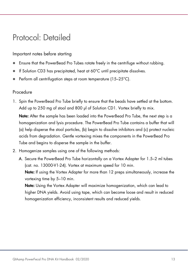### Protocol: Detailed

#### Important notes before starting

- Ensure that the PowerBead Pro Tubes rotate freely in the centrifuge without rubbing.
- If Solution CD3 has precipitated, heat at 60°C until precipitate dissolves.
- Perform all centrifugation steps at room temperature (15–25°C).

#### Procedure

1. Spin the PowerBead Pro Tube briefly to ensure that the beads have settled at the bottom. Add up to 250 mg of stool and 800 µl of Solution CD1. Vortex briefly to mix.

Note: After the sample has been loaded into the PowerBead Pro Tube, the next step is a homogenization and lysis procedure. The PowerBead Pro Tube contains a buffer that will (a) help disperse the stool particles, (b) begin to dissolve inhibitors and (c) protect nucleic acids from degradation. Gentle vortexing mixes the components in the PowerBead Pro Tube and begins to disperse the sample in the buffer.

- 2. Homogenize samples using one of the following methods:
	- A. Secure the PowerBead Pro Tube horizontally on a Vortex Adapter for 1.5–2 ml tubes (cat. no. 13000-V1-24). Vortex at maximum speed for 10 min.

Note: If using the Vortex Adapter for more than 12 preps simultaneously, increase the vortexing time by 5–10 min.

Note: Using the Vortex Adapter will maximize homogenization, which can lead to higher DNA yields. Avoid using tape, which can become loose and result in reduced homogenization efficiency, inconsistent results and reduced yields.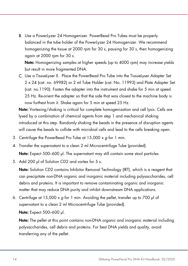B. Use a PowerLyzer 24 Homogenizer. PowerBead Pro Tubes must be properly balanced in the tube holder of the PowerLyzer 24 Homogenizer. We recommend homogenizing the tissue at 2000 rpm for 30 s, pausing for 30 s, then homogenizing again at 2000 rpm for 30 s.

Note: Homogenizing samples at higher speeds (up to 4000 rpm) may increase yields but result in more fragmented DNA.

C. Use a TissueLyser II. Place the PowerBead Pro Tube into the TissueLyser Adapter Set 2 x 24 (cat. no. 69982) or 2 ml Tube Holder (cat. No. 11993) and Plate Adapter Set (cat. no.1190). Fasten the adapter into the instrument and shake for 5 min at speed 25 Hz. Re-orient the adapter so that the side that was closest to the machine body is now furthest from it. Shake again for 5 min at speed 25 Hz.

Note: Vortexing/shaking is critical for complete homogenization and cell lysis. Cells are lysed by a combination of chemical agents from step 1 and mechanical shaking introduced at this step. Randomly shaking the beads in the presence of disruption agents will cause the beads to collide with microbial cells and lead to the cells breaking open.

- 3. Centrifuge the PowerBead Pro Tube at 15,000 x g for 1 min.
- 4. Transfer the supernatant to a clean 2 ml Microcentrifuge Tube (provided). Note: Expect 500–600 µl. The supernatant may still contain some stool particles.
- 5. Add 200 µl of Solution CD2 and vortex for 5 s.

Note: Solution CD2 contains Inhibitor Removal Technology (IRT), which is a reagent that can precipitate non-DNA organic and inorganic material including polysaccharides, cell debris and proteins. It is important to remove contaminating organic and inorganic matter that may reduce DNA purity and inhibit downstream DNA applications.

6. Centrifuge at 15,000  $\times$  g for 1 min. Avoiding the pellet, transfer up to 700 µl of supernatant to a clean 2 ml Microcentrifuge Tube (provided).

Note: Expect 500–600 µl.

Note: The pellet at this point contains non-DNA organic and inorganic material including polysaccharides, cell debris and proteins. For best DNA yields and quality, avoid transferring any of the pellet.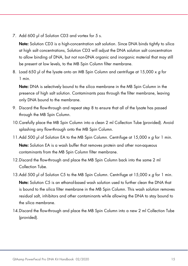7. Add 600 µl of Solution CD3 and vortex for 5 s.

Note: Solution CD3 is a high-concentration salt solution. Since DNA binds tightly to silica at high salt concentrations, Solution CD3 will adjust the DNA solution salt concentration to allow binding of DNA, but not non-DNA organic and inorganic material that may still be present at low levels, to the MB Spin Column filter membrane.

8. Load 650 µl of the lysate onto an MB Spin Column and centrifuge at 15,000 x g for 1 min.

Note: DNA is selectively bound to the silica membrane in the MB Spin Column in the presence of high salt solution. Contaminants pass through the filter membrane, leaving only DNA bound to the membrane.

- 9. Discard the flow-through and repeat step 8 to ensure that all of the lysate has passed through the MB Spin Column.
- 10.Carefully place the MB Spin Column into a clean 2 ml Collection Tube (provided). Avoid splashing any flow-through onto the MB Spin Column.
- 11.Add 500 µl of Solution EA to the MB Spin Column. Centrifuge at 15,000 x q for 1 min. Note: Solution EA is a wash buffer that removes protein and other non-aqueous contaminants from the MB Spin Column filter membrane.
- 12.Discard the flow-through and place the MB Spin Column back into the same 2 ml Collection Tube.
- 13.Add 500 µl of Solution C5 to the MB Spin Column. Centrifuge at 15,000  $\times$  g for 1 min. Note: Solution C5 is an ethanol-based wash solution used to further clean the DNA that is bound to the silica filter membrane in the MB Spin Column. This wash solution removes residual salt, inhibitors and other contaminants while allowing the DNA to stay bound to the silica membrane.
- 14.Discard the flow-through and place the MB Spin Column into a new 2 ml Collection Tube (provided).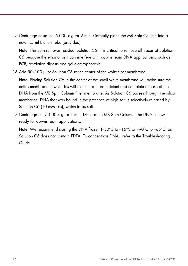15.Centrifuge at up to 16,000 x g for 2 min. Carefully place the MB Spin Column into a new 1.5 ml Elution Tube (provided).

Note: This spin removes residual Solution C5. It is critical to remove all traces of Solution C5 because the ethanol in it can interfere with downstream DNA applications, such as PCR, restriction digests and gel electrophoresis.

16.Add 50–100 µl of Solution C6 to the center of the white filter membrane.

Note: Placing Solution C6 in the center of the small white membrane will make sure the entire membrane is wet. This will result in a more efficient and complete release of the DNA from the MB Spin Column filter membrane. As Solution C6 passes through the silica membrane, DNA that was bound in the presence of high salt is selectively released by Solution C6 (10 mM Tris), which lacks salt.

17. Centrifuge at 15,000  $\times$  g for 1 min. Discard the MB Spin Column. The DNA is now ready for downstream applications.

**Note:** We recommend storing the DNA frozen  $(-30^{\circ}\text{C})$  to  $-15^{\circ}\text{C}$  or  $-90^{\circ}\text{C}$  to  $-65^{\circ}\text{C}$ ) as Solution C6 does not contain EDTA. To concentrate DNA, refer to the Troubleshooting Guide.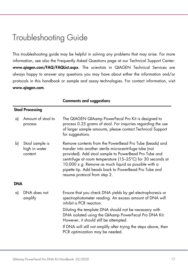### Troubleshooting Guide

This troubleshooting guide may be helpful in solving any problems that may arise. For more information, see also the Frequently Asked Questions page at our Technical Support Center: www.qiagen.com/FAQ/FAQList.aspx. The scientists in QIAGEN Technical Services are always happy to answer any questions you may have about either the information and/or protocols in this handbook or sample and assay technologies. For contact information, visit www.qiagen.com.

|     |                                             | כווווווכוווג עווע אויסווווועט                                                                                                                                                                                                                                                                                                                                                                                        |
|-----|---------------------------------------------|----------------------------------------------------------------------------------------------------------------------------------------------------------------------------------------------------------------------------------------------------------------------------------------------------------------------------------------------------------------------------------------------------------------------|
|     | <b>Stool Processing</b>                     |                                                                                                                                                                                                                                                                                                                                                                                                                      |
| a)  | Amount of stool to<br>process               | The QIAGEN QIAamp PowerFecal Pro Kit is designed to<br>process 0.25 grams of stool. For inquiries regarding the use<br>of larger sample amounts, please contact Technical Support<br>for suggestions.                                                                                                                                                                                                                |
| b)  | Stool sample is<br>high in water<br>content | Remove contents from the PowerBead Pro Tube (beads) and<br>transfer into another sterile microcentrifuge tube (not<br>provided). Add stool sample to PowerBead Pro Tube and<br>centrifuge at room temperature (15-25°C) for 30 seconds at<br>10,000 $\times$ g. Remove as much liquid as possible with a<br>pipette tip. Add beads back to PowerBead Pro Tube and<br>resume protocol from step 2.                    |
| DNA |                                             |                                                                                                                                                                                                                                                                                                                                                                                                                      |
| a)  | DNA does not<br>amplify                     | Ensure that you check DNA yields by gel electrophoresis or<br>spectrophotometer reading. An excess amount of DNA will<br>inhibit a PCR reaction.<br>Diluting the template DNA should not be necessary with<br>DNA isolated using the QIAamp PowerFecal Pro DNA Kit.<br>However, it should still be attempted.<br>If DNA will still not amplify after trying the steps above, then<br>PCR optimization may be needed. |

#### Comments and suggestions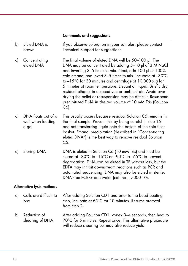#### Comments and suggestions

| b) | Eluted DNA is<br>brown                            | If you observe coloration in your samples, please contact<br>Technical Support for suggestions.                                                                                                                                                                                                                                                                                                                                                                                                                                                                                           |
|----|---------------------------------------------------|-------------------------------------------------------------------------------------------------------------------------------------------------------------------------------------------------------------------------------------------------------------------------------------------------------------------------------------------------------------------------------------------------------------------------------------------------------------------------------------------------------------------------------------------------------------------------------------------|
| c) | Concentrating<br>eluted DNA                       | The final volume of eluted DNA will be 50-100 µl. The<br>DNA may be concentrated by adding 5-10 µl of 3 M NaCl<br>and inverting 3-5 times to mix. Next, add 100 µl of 100%<br>cold ethanol and invert 3-5 times to mix. Incubate at -30°C<br>to $-15^{\circ}$ C for 30 minutes and centrifuge at 10,000 x g for<br>5 minutes at room temperature. Decant all liquid. Briefly dry<br>residual ethanol in a speed vac or ambient air. Avoid over-<br>drying the pellet or resuspension may be difficult. Resuspend<br>precipitated DNA in desired volume of 10 mM Tris (Solution<br>$C6$ ). |
| d) | DNA floats out of a<br>well when loading<br>a gel | This usually occurs because residual Solution C5 remains in<br>the final sample. Prevent this by being careful in step 15<br>and not transferring liquid onto the bottom of the spin filter<br>basket. Ethanol precipitation (described in "Concentrating<br>eluted DNA") is the best way to remove residual Solution<br>$C5$ .                                                                                                                                                                                                                                                           |
| e) | Storing DNA                                       | DNA is eluted in Solution C6 (10 mM Tris) and must be<br>stored at -30°C to -15°C or -90°C to -65°C to prevent<br>degradation. DNA can be eluted in TE without loss, but the<br>EDTA may inhibit downstream reactions such as PCR and<br>automated sequencing. DNA may also be eluted in sterile,<br>DNA-Free PCR-Grade water (cat. no. 17000-10).                                                                                                                                                                                                                                        |
|    | Alternative lysis methods                         |                                                                                                                                                                                                                                                                                                                                                                                                                                                                                                                                                                                           |
| a) | Cells are difficult to<br>lyse                    | After adding Solution CD1 and prior to the bead beating<br>step, incubate at 65°C for 10 minutes. Resume protocol<br>from step 2.                                                                                                                                                                                                                                                                                                                                                                                                                                                         |
| b) | Reduction of<br>shearing of DNA                   | After adding Solution CD1, vortex 3-4 seconds, then heat to<br>70°C for 5 minutes. Repeat once. This alternative procedure                                                                                                                                                                                                                                                                                                                                                                                                                                                                |

will reduce shearing but may also reduce yield.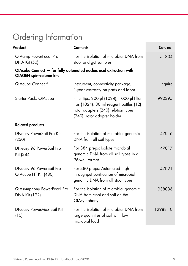## Ordering Information

| Product                                             | <b>Contents</b>                                                                                                                                               | Cat. no. |
|-----------------------------------------------------|---------------------------------------------------------------------------------------------------------------------------------------------------------------|----------|
| <b>QIAamp PowerFecal Pro</b><br><b>DNA Kit (50)</b> | For the isolation of microbial DNA from<br>stool and gut samples                                                                                              | 51804    |
| <b>QIAGEN</b> spin-column kits                      | QIAcube Connect - for fully automated nucleic acid extraction with                                                                                            |          |
| QIAcube Connect*                                    | Instrument, connectivity package,<br>1-year warranty on parts and labor                                                                                       | Inquire  |
| Starter Pack, QIAcube                               | Filter-tips, 200 µl (1024), 1000 µl filter-<br>tips (1024), 30 ml reagent bottles (12),<br>rotor adapters (240), elution tubes<br>(240), rotor adapter holder | 990395   |
| <b>Related products</b>                             |                                                                                                                                                               |          |
| DNeasy PowerSoil Pro Kit<br>(250)                   | For the isolation of microbial genomic<br>DNA from all soil types                                                                                             | 47016    |
| DNeasy 96 PowerSoil Pro<br>Kit (384)                | For 384 preps: Isolate microbial<br>genomic DNA from all soil types in a<br>96-well format                                                                    | 47017    |
| DNeasy 96 PowerSoil Pro<br>QIAcube HT Kit (480)     | For 480 preps: Automated high-<br>throughput purification of microbial<br>genomic DNA from all stool types                                                    | 47021    |
| <b>QIAsymphony PowerFecal Pro</b><br>DNA Kit (192)  | For the isolation of microbial genomic<br>DNA from stool and soil on the<br>QIAsymphony                                                                       | 938036   |
| DNeasy PowerMax Soil Kit<br>(10)                    | For the isolation of microbial DNA from<br>large quantities of soil with low<br>microbial load                                                                | 12988-10 |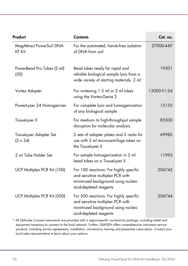| Product                                    | <b>Contents</b>                                                                                                                            | Cat. no.    |
|--------------------------------------------|--------------------------------------------------------------------------------------------------------------------------------------------|-------------|
| MagAttract PowerSoil DNA<br><b>KF Kit</b>  | For the automated, hands-free isolation<br>of DNA from soil                                                                                | 27000-4-KF  |
| PowerBead Pro Tubes (2 ml)<br>(50)         | Bead tubes ready for rapid and<br>reliable biological sample lysis from a<br>wide variety of starting materials, 2 ml                      | 19301       |
| Vortex Adapter                             | For vortexing 1.5 ml or 2 ml tubes<br>using the Vortex-Genie 2                                                                             | 13000-V1-24 |
| PowerLyzer 24 Homogenizer                  | For complete lysis and homogenization<br>of any biological sample                                                                          | 13155       |
| TissueLyser II                             | For medium- to high-throughput sample<br>disruption for molecular analysis                                                                 | 85300       |
| TissueLyser Adapter Set<br>$(2 \times 24)$ | 2 sets of adapter plates and 2 racks for<br>use with 2 ml microcentrifuge tubes on<br>the TissueLyser II                                   | 69982       |
| 2 ml Tube Holder Set                       | For sample homogenization in 2 ml<br>bead tubes on a TissueLyser II                                                                        | 11993       |
| UCP Multiplex PCR Kit (100)                | For 100 reactions: For highly specific<br>and sensitive multiplex PCR with<br>minimized background using nucleic<br>acid-depleted reagents | 206742      |
| UCP Multiplex PCR Kit (500)                | For 500 reactions: For highly specific<br>and sensitive multiplex PCR with<br>minimized background using nucleic<br>acid-depleted reagents | 206744      |

\* All QIAcube Connect instruments are provided with a region-specific connectivity package, including tablet and equipment necessary to connect to the local network. Further, QIAGEN offers comprehensive instrument service products, including service agreements, installation, introductory training and preventive subscription. Contact your local sales representative to learn about your options.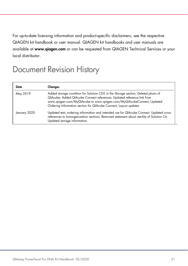For up-to-date licensing information and product-specific disclaimers, see the respective QIAGEN kit handbook or user manual. QIAGEN kit handbooks and user manuals are available at www.qiagen.com or can be requested from QIAGEN Technical Services or your local distributor.

### Document Revision History

| Date         | Changes                                                                                                                                                                                                                                                                                                 |
|--------------|---------------------------------------------------------------------------------------------------------------------------------------------------------------------------------------------------------------------------------------------------------------------------------------------------------|
| May 2019     | Added storage condition for Solution CD2 in the Storage section; Deleted photo of<br>QIAcube; Added QIAcube Connect references; Updated reference link from<br>www.qiagen.com/MyQIAcube to www.qiagen.com/MyQIAcubeConnect; Updated<br>Ordering Information section for QIAcube Connect; Layout updates |
| January 2020 | Updated text, ordering information and intended use for QIAcube Connect. Updated cross-<br>references to homogenization sections. Removed statement about sterility of Solution C6.<br>Updated storage information.                                                                                     |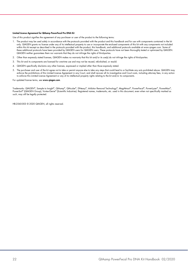#### Limited License Agreement for QIAamp PowerFecal Pro DNA Kit

Use of this product signifies the agreement of any purchaser or user of the product to the following terms:

- 1. The product may be used solely in accordance with the protocols provided with the product and this handbook and for use with components contained in the kit only. QIAGEN grants no license under any of its intellectual property to use or incorporate the enclosed components of this kit with any components not included within this kit except as described in the protocols provided with the product, this handbook, and additional protocols available at www.qiagen.com. Some of these additional protocols have been provided by QIAGEN users for QIAGEN users. These protocols have not been thoroughly tested or optimized by QIAGEN. QIAGEN neither guarantees them nor warrants that they do not infringe the rights of third-parties.
- 2. Other than expressly stated licenses, QIAGEN makes no warranty that this kit and/or its use(s) do not infringe the rights of third-parties.
- 3. This kit and its components are licensed for one-time use and may not be reused, refurbished, or resold.
- 4. QIAGEN specifically disclaims any other licenses, expressed or implied other than those expressly stated.
- 5. The purchaser and user of the kit agree not to take or permit anyone else to take any steps that could lead to or facilitate any acts prohibited above. QIAGEN may enforce the prohibitions of this Limited License Agreement in any Court, and shall recover all its investigative and Court costs, including attorney fees, in any action to enforce this Limited License Agreement or any of its intellectual property rights relating to the kit and/or its components.

For updated license terms, see www.qiagen.com.

Trademarks: QIAGEN®, Sample to Insight®, QIAamp®, QIAcube®, DNeasy®, Inhibitor Removal Technology®, MagAttract®, PowerFecal®, PowerLyzer®, PowerMax®, PowerSoil® (QIAGEN Group); Vortex-Genie® (Scientific Industries). Registered names, trademarks, etc. used in this document, even when not specifically marked as such, may still be legally protected.

HB-2560-003 © 2020 QIAGEN, all rights reserved.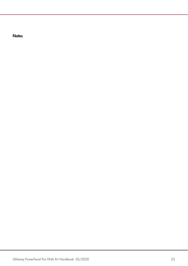**Notes**